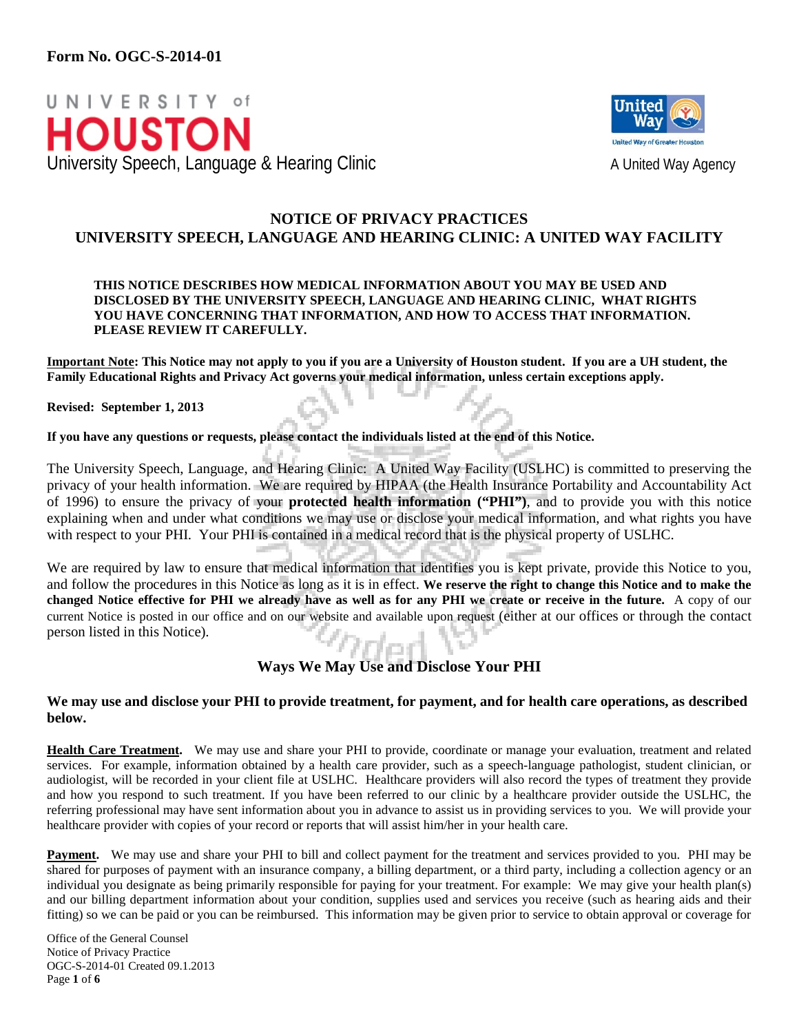



# **NOTICE OF PRIVACY PRACTICES UNIVERSITY SPEECH, LANGUAGE AND HEARING CLINIC: A UNITED WAY FACILITY**

#### **THIS NOTICE DESCRIBES HOW MEDICAL INFORMATION ABOUT YOU MAY BE USED AND DISCLOSED BY THE UNIVERSITY SPEECH, LANGUAGE AND HEARING CLINIC, WHAT RIGHTS YOU HAVE CONCERNING THAT INFORMATION, AND HOW TO ACCESS THAT INFORMATION. PLEASE REVIEW IT CAREFULLY.**

**Important Note: This Notice may not apply to you if you are a University of Houston student. If you are a UH student, the Family Educational Rights and Privacy Act governs your medical information, unless certain exceptions apply.** 

**Revised: September 1, 2013**

**If you have any questions or requests, please contact the individuals listed at the end of this Notice.**

The University Speech, Language, and Hearing Clinic: A United Way Facility (USLHC) is committed to preserving the privacy of your health information. We are required by HIPAA (the Health Insurance Portability and Accountability Act of 1996) to ensure the privacy of your **protected health information ("PHI")**, and to provide you with this notice explaining when and under what conditions we may use or disclose your medical information, and what rights you have with respect to your PHI. Your PHI is contained in a medical record that is the physical property of USLHC.

We are required by law to ensure that medical information that identifies you is kept private, provide this Notice to you, and follow the procedures in this Notice as long as it is in effect. **We reserve the right to change this Notice and to make the changed Notice effective for PHI we already have as well as for any PHI we create or receive in the future.** A copy of our current Notice is posted in our office and on our website and available upon request (either at our offices or through the contact person listed in this Notice). infart.

## **Ways We May Use and Disclose Your PHI**

#### **We may use and disclose your PHI to provide treatment, for payment, and for health care operations, as described below.**

**Health Care Treatment.** We may use and share your PHI to provide, coordinate or manage your evaluation, treatment and related services. For example, information obtained by a health care provider, such as a speech-language pathologist, student clinician, or audiologist, will be recorded in your client file at USLHC. Healthcare providers will also record the types of treatment they provide and how you respond to such treatment. If you have been referred to our clinic by a healthcare provider outside the USLHC, the referring professional may have sent information about you in advance to assist us in providing services to you. We will provide your healthcare provider with copies of your record or reports that will assist him/her in your health care.

**Payment.** We may use and share your PHI to bill and collect payment for the treatment and services provided to you. PHI may be shared for purposes of payment with an insurance company, a billing department, or a third party, including a collection agency or an individual you designate as being primarily responsible for paying for your treatment. For example: We may give your health plan(s) and our billing department information about your condition, supplies used and services you receive (such as hearing aids and their fitting) so we can be paid or you can be reimbursed. This information may be given prior to service to obtain approval or coverage for

Office of the General Counsel Notice of Privacy Practice OGC-S-2014-01 Created 09.1.2013 Page **1** of **6**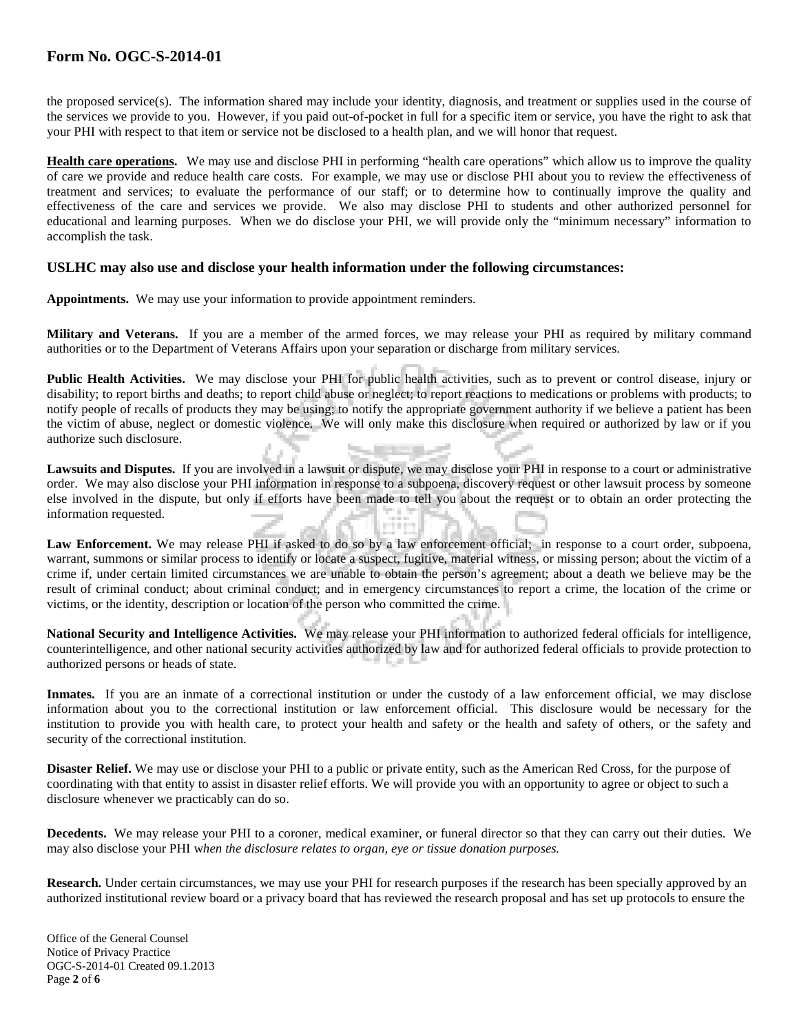the proposed service(s). The information shared may include your identity, diagnosis, and treatment or supplies used in the course of the services we provide to you. However, if you paid out-of-pocket in full for a specific item or service, you have the right to ask that your PHI with respect to that item or service not be disclosed to a health plan, and we will honor that request.

**Health care operations.** We may use and disclose PHI in performing "health care operations" which allow us to improve the quality of care we provide and reduce health care costs. For example, we may use or disclose PHI about you to review the effectiveness of treatment and services; to evaluate the performance of our staff; or to determine how to continually improve the quality and effectiveness of the care and services we provide. We also may disclose PHI to students and other authorized personnel for educational and learning purposes. When we do disclose your PHI, we will provide only the "minimum necessary" information to accomplish the task.

#### **USLHC may also use and disclose your health information under the following circumstances:**

**Appointments.** We may use your information to provide appointment reminders.

**Military and Veterans.** If you are a member of the armed forces, we may release your PHI as required by military command authorities or to the Department of Veterans Affairs upon your separation or discharge from military services.

Public Health Activities. We may disclose your PHI for public health activities, such as to prevent or control disease, injury or disability; to report births and deaths; to report child abuse or neglect; to report reactions to medications or problems with products; to notify people of recalls of products they may be using; to notify the appropriate government authority if we believe a patient has been the victim of abuse, neglect or domestic violence. We will only make this disclosure when required or authorized by law or if you authorize such disclosure.

**Lawsuits and Disputes.** If you are involved in a lawsuit or dispute, we may disclose your PHI in response to a court or administrative order. We may also disclose your PHI information in response to a subpoena, discovery request or other lawsuit process by someone else involved in the dispute, but only if efforts have been made to tell you about the request or to obtain an order protecting the information requested.

Law Enforcement. We may release PHI if asked to do so by a law enforcement official; in response to a court order, subpoena, warrant, summons or similar process to identify or locate a suspect, fugitive, material witness, or missing person; about the victim of a crime if, under certain limited circumstances we are unable to obtain the person's agreement; about a death we believe may be the result of criminal conduct; about criminal conduct; and in emergency circumstances to report a crime, the location of the crime or victims, or the identity, description or location of the person who committed the crime.

**National Security and Intelligence Activities.** We may release your PHI information to authorized federal officials for intelligence, counterintelligence, and other national security activities authorized by law and for authorized federal officials to provide protection to authorized persons or heads of state.

Inmates. If you are an inmate of a correctional institution or under the custody of a law enforcement official, we may disclose information about you to the correctional institution or law enforcement official. This disclosure would be necessary for the institution to provide you with health care, to protect your health and safety or the health and safety of others, or the safety and security of the correctional institution.

**Disaster Relief.** We may use or disclose your PHI to a public or private entity, such as the American Red Cross, for the purpose of coordinating with that entity to assist in disaster relief efforts. We will provide you with an opportunity to agree or object to such a disclosure whenever we practicably can do so.

**Decedents.** We may release your PHI to a coroner, medical examiner, or funeral director so that they can carry out their duties. We may also disclose your PHI w*hen the disclosure relates to organ, eye or tissue donation purposes.*

**Research.** Under certain circumstances, we may use your PHI for research purposes if the research has been specially approved by an authorized institutional review board or a privacy board that has reviewed the research proposal and has set up protocols to ensure the

Office of the General Counsel Notice of Privacy Practice OGC-S-2014-01 Created 09.1.2013 Page **2** of **6**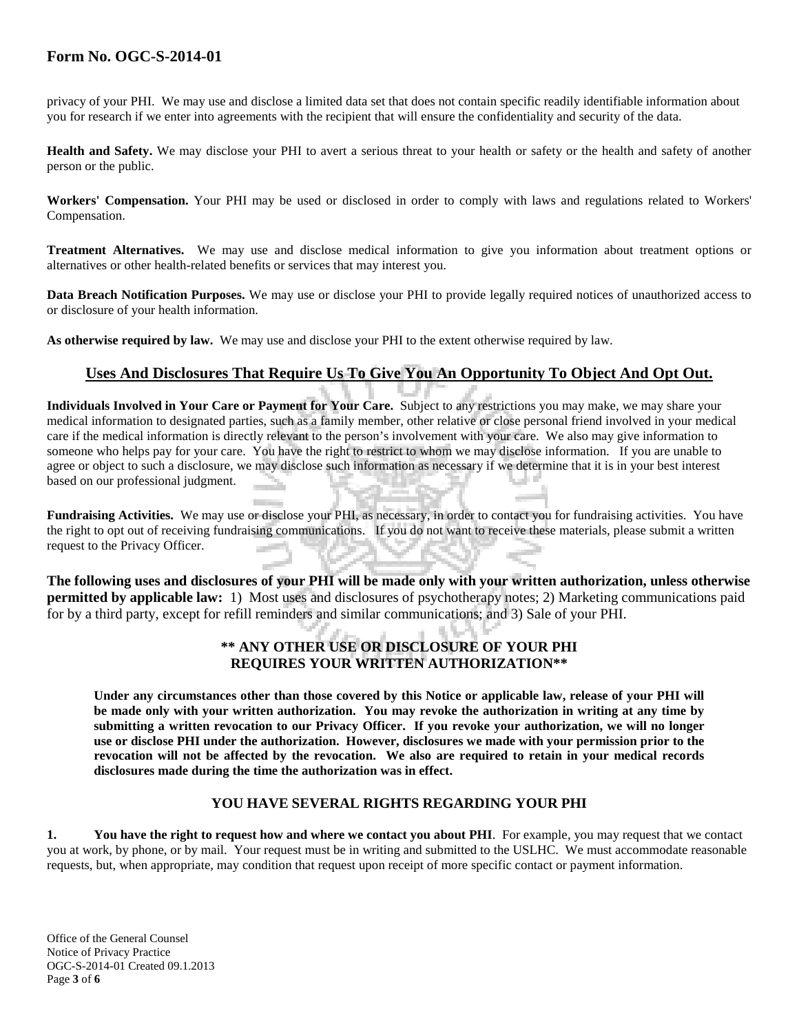privacy of your PHI. We may use and disclose a limited data set that does not contain specific readily identifiable information about you for research if we enter into agreements with the recipient that will ensure the confidentiality and security of the data.

**Health and Safety.** We may disclose your PHI to avert a serious threat to your health or safety or the health and safety of another person or the public.

**Workers' Compensation.** Your PHI may be used or disclosed in order to comply with laws and regulations related to Workers' Compensation.

**Treatment Alternatives.** We may use and disclose medical information to give you information about treatment options or alternatives or other health-related benefits or services that may interest you.

**Data Breach Notification Purposes.** We may use or disclose your PHI to provide legally required notices of unauthorized access to or disclosure of your health information.

**As otherwise required by law.** We may use and disclose your PHI to the extent otherwise required by law.

# **Uses And Disclosures That Require Us To Give You An Opportunity To Object And Opt Out.**

**Individuals Involved in Your Care or Payment for Your Care.** Subject to any restrictions you may make, we may share your medical information to designated parties, such as a family member, other relative or close personal friend involved in your medical care if the medical information is directly relevant to the person's involvement with your care. We also may give information to someone who helps pay for your care. You have the right to restrict to whom we may disclose information. If you are unable to agree or object to such a disclosure, we may disclose such information as necessary if we determine that it is in your best interest based on our professional judgment.

**Fundraising Activities.** We may use or disclose your PHI, as necessary, in order to contact you for fundraising activities. You have the right to opt out of receiving fundraising communications. If you do not want to receive these materials, please submit a written request to the Privacy Officer.

**The following uses and disclosures of your PHI will be made only with your written authorization, unless otherwise permitted by applicable law:** 1) Most uses and disclosures of psychotherapy notes; 2) Marketing communications paid for by a third party, except for refill reminders and similar communications; and 3) Sale of your PHI.

## **\*\* ANY OTHER USE OR DISCLOSURE OF YOUR PHI REQUIRES YOUR WRITTEN AUTHORIZATION\*\***

**Under any circumstances other than those covered by this Notice or applicable law, release of your PHI will be made only with your written authorization. You may revoke the authorization in writing at any time by submitting a written revocation to our Privacy Officer. If you revoke your authorization, we will no longer use or disclose PHI under the authorization. However, disclosures we made with your permission prior to the revocation will not be affected by the revocation. We also are required to retain in your medical records disclosures made during the time the authorization was in effect.** 

### **YOU HAVE SEVERAL RIGHTS REGARDING YOUR PHI**

**1. You have the right to request how and where we contact you about PHI**. For example, you may request that we contact you at work, by phone, or by mail. Your request must be in writing and submitted to the USLHC. We must accommodate reasonable requests, but, when appropriate, may condition that request upon receipt of more specific contact or payment information.

Office of the General Counsel Notice of Privacy Practice OGC-S-2014-01 Created 09.1.2013 Page **3** of **6**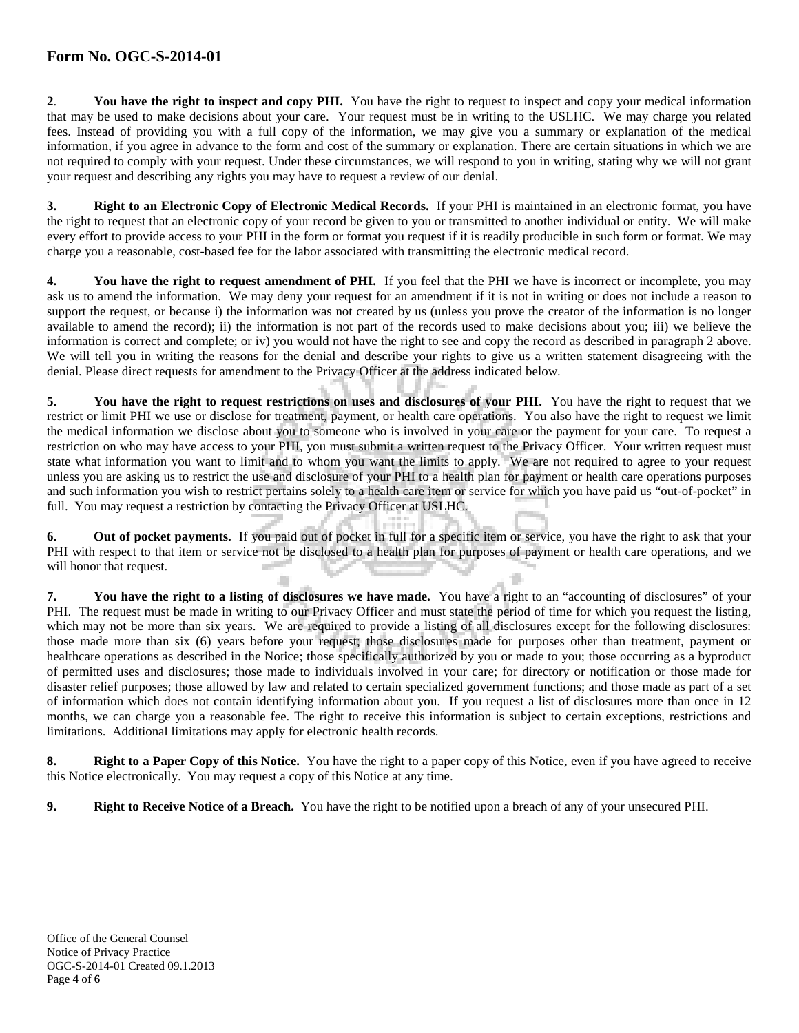**2**. **You have the right to inspect and copy PHI.** You have the right to request to inspect and copy your medical information that may be used to make decisions about your care. Your request must be in writing to the USLHC. We may charge you related fees. Instead of providing you with a full copy of the information, we may give you a summary or explanation of the medical information, if you agree in advance to the form and cost of the summary or explanation. There are certain situations in which we are not required to comply with your request. Under these circumstances, we will respond to you in writing, stating why we will not grant your request and describing any rights you may have to request a review of our denial.

**3. Right to an Electronic Copy of Electronic Medical Records.** If your PHI is maintained in an electronic format, you have the right to request that an electronic copy of your record be given to you or transmitted to another individual or entity. We will make every effort to provide access to your PHI in the form or format you request if it is readily producible in such form or format. We may charge you a reasonable, cost-based fee for the labor associated with transmitting the electronic medical record.

**4. You have the right to request amendment of PHI.** If you feel that the PHI we have is incorrect or incomplete, you may ask us to amend the information. We may deny your request for an amendment if it is not in writing or does not include a reason to support the request, or because i) the information was not created by us (unless you prove the creator of the information is no longer available to amend the record); ii) the information is not part of the records used to make decisions about you; iii) we believe the information is correct and complete; or iv) you would not have the right to see and copy the record as described in paragraph 2 above. We will tell you in writing the reasons for the denial and describe your rights to give us a written statement disagreeing with the denial. Please direct requests for amendment to the Privacy Officer at the address indicated below.

**5. You have the right to request restrictions on uses and disclosures of your PHI.** You have the right to request that we restrict or limit PHI we use or disclose for treatment, payment, or health care operations. You also have the right to request we limit the medical information we disclose about you to someone who is involved in your care or the payment for your care. To request a restriction on who may have access to your PHI, you must submit a written request to the Privacy Officer. Your written request must state what information you want to limit and to whom you want the limits to apply. We are not required to agree to your request unless you are asking us to restrict the use and disclosure of your PHI to a health plan for payment or health care operations purposes and such information you wish to restrict pertains solely to a health care item or service for which you have paid us "out-of-pocket" in full. You may request a restriction by contacting the Privacy Officer at USLHC.

**6. Out of pocket payments.** If you paid out of pocket in full for a specific item or service, you have the right to ask that your PHI with respect to that item or service not be disclosed to a health plan for purposes of payment or health care operations, and we will honor that request.

**7. You have the right to a listing of disclosures we have made.** You have a right to an "accounting of disclosures" of your PHI. The request must be made in writing to our Privacy Officer and must state the period of time for which you request the listing, which may not be more than six years. We are required to provide a listing of all disclosures except for the following disclosures: those made more than six (6) years before your request; those disclosures made for purposes other than treatment, payment or healthcare operations as described in the Notice; those specifically authorized by you or made to you; those occurring as a byproduct of permitted uses and disclosures; those made to individuals involved in your care; for directory or notification or those made for disaster relief purposes; those allowed by law and related to certain specialized government functions; and those made as part of a set of information which does not contain identifying information about you. If you request a list of disclosures more than once in 12 months, we can charge you a reasonable fee. The right to receive this information is subject to certain exceptions, restrictions and limitations. Additional limitations may apply for electronic health records.

**8. Right to a Paper Copy of this Notice.** You have the right to a paper copy of this Notice, even if you have agreed to receive this Notice electronically. You may request a copy of this Notice at any time.

**9. Right to Receive Notice of a Breach.** You have the right to be notified upon a breach of any of your unsecured PHI.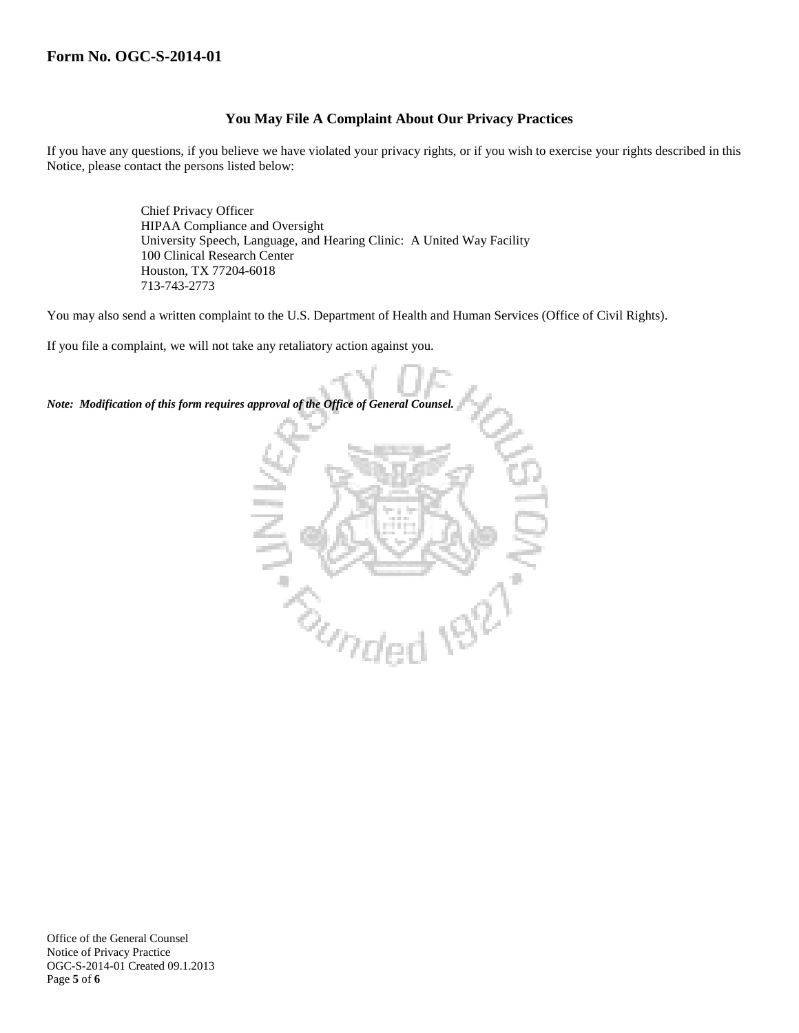## **You May File A Complaint About Our Privacy Practices**

If you have any questions, if you believe we have violated your privacy rights, or if you wish to exercise your rights described in this Notice, please contact the persons listed below:

> Chief Privacy Officer HIPAA Compliance and Oversight University Speech, Language, and Hearing Clinic: A United Way Facility 100 Clinical Research Center Houston, TX 77204-6018 713-743-2773

You may also send a written complaint to the U.S. Department of Health and Human Services (Office of Civil Rights).

If you file a complaint, we will not take any retaliatory action against you.

*Note: Modification of this form requires approval of the Office of General Counsel.*